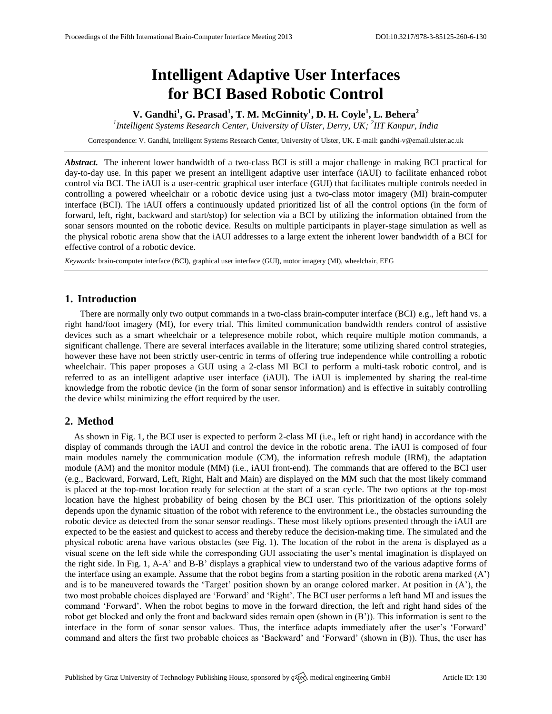# **Intelligent Adaptive User Interfaces for BCI Based Robotic Control**

**V. Gandhi<sup>1</sup> , G. Prasad<sup>1</sup> , T. M. McGinnity<sup>1</sup> , D. H. Coyle<sup>1</sup> , L. Behera<sup>2</sup>**

<sup>1</sup> Intelligent Systems Research Center, University of Ulster, Derry, UK; <sup>2</sup>IIT Kanpur, India

Correspondence: V. Gandhi, Intelligent Systems Research Center, University of Ulster, UK. E-mail[: gandhi-v@email.ulster.ac.uk](mailto:corresponding.author@address.com)

*Abstract.* The inherent lower bandwidth of a two-class BCI is still a major challenge in making BCI practical for day-to-day use. In this paper we present an intelligent adaptive user interface (iAUI) to facilitate enhanced robot control via BCI. The iAUI is a user-centric graphical user interface (GUI) that facilitates multiple controls needed in controlling a powered wheelchair or a robotic device using just a two-class motor imagery (MI) brain-computer interface (BCI). The iAUI offers a continuously updated prioritized list of all the control options (in the form of forward, left, right, backward and start/stop) for selection via a BCI by utilizing the information obtained from the sonar sensors mounted on the robotic device. Results on multiple participants in player-stage simulation as well as the physical robotic arena show that the iAUI addresses to a large extent the inherent lower bandwidth of a BCI for effective control of a robotic device.

*Keywords:* brain-computer interface (BCI), graphical user interface (GUI), motor imagery (MI), wheelchair, EEG

### **1. Introduction**

There are normally only two output commands in a two-class brain-computer interface (BCI) e.g., left hand vs. a right hand/foot imagery (MI), for every trial. This limited communication bandwidth renders control of assistive devices such as a smart wheelchair or a telepresence mobile robot, which require multiple motion commands, a significant challenge. There are several interfaces available in the literature; some utilizing shared control strategies, however these have not been strictly user-centric in terms of offering true independence while controlling a robotic wheelchair. This paper proposes a GUI using a 2-class MI BCI to perform a multi-task robotic control, and is referred to as an intelligent adaptive user interface (iAUI). The iAUI is implemented by sharing the real-time knowledge from the robotic device (in the form of sonar sensor information) and is effective in suitably controlling the device whilst minimizing the effort required by the user.

## **2. Method**

As shown in Fig. 1, the BCI user is expected to perform 2-class MI (i.e., left or right hand) in accordance with the display of commands through the iAUI and control the device in the robotic arena. The iAUI is composed of four main modules namely the communication module (CM), the information refresh module (IRM), the adaptation module (AM) and the monitor module (MM) (i.e., iAUI front-end). The commands that are offered to the BCI user (e.g., Backward, Forward, Left, Right, Halt and Main) are displayed on the MM such that the most likely command is placed at the top-most location ready for selection at the start of a scan cycle. The two options at the top-most location have the highest probability of being chosen by the BCI user. This prioritization of the options solely depends upon the dynamic situation of the robot with reference to the environment i.e., the obstacles surrounding the robotic device as detected from the sonar sensor readings. These most likely options presented through the iAUI are expected to be the easiest and quickest to access and thereby reduce the decision-making time. The simulated and the physical robotic arena have various obstacles (see Fig. 1). The location of the robot in the arena is displayed as a visual scene on the left side while the corresponding GUI associating the user's mental imagination is displayed on the right side. In Fig. 1, A-A' and B-B' displays a graphical view to understand two of the various adaptive forms of the interface using an example. Assume that the robot begins from a starting position in the robotic arena marked (A') and is to be maneuvered towards the 'Target' position shown by an orange colored marker. At position in (A'), the two most probable choices displayed are 'Forward' and 'Right'. The BCI user performs a left hand MI and issues the command 'Forward'. When the robot begins to move in the forward direction, the left and right hand sides of the robot get blocked and only the front and backward sides remain open (shown in  $(B')$ ). This information is sent to the interface in the form of sonar sensor values. Thus, the interface adapts immediately after the user's 'Forward' command and alters the first two probable choices as 'Backward' and 'Forward' (shown in (B)). Thus, the user has